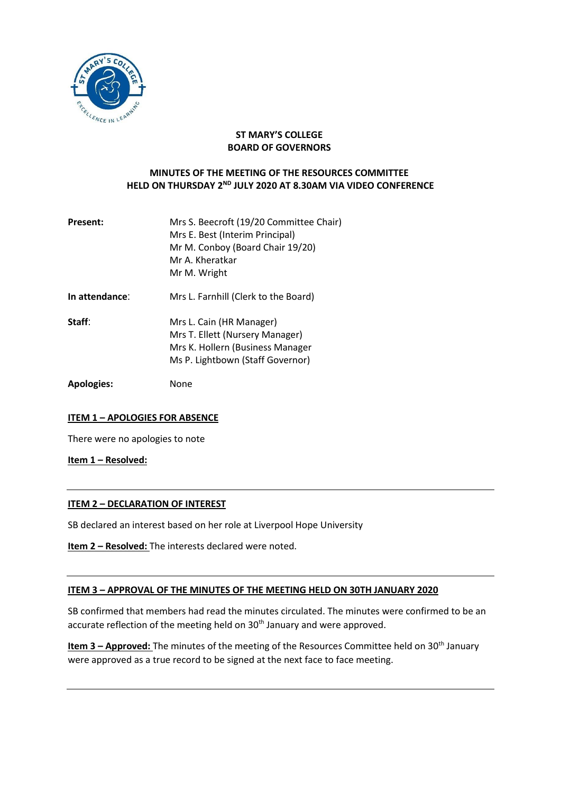

### **ST MARY'S COLLEGE BOARD OF GOVERNORS**

# **MINUTES OF THE MEETING OF THE RESOURCES COMMITTEE HELD ON THURSDAY 2<sup>ND</sup> JULY 2020 AT 8.30AM VIA VIDEO CONFERENCE**

| <b>Present:</b> | Mrs S. Beecroft (19/20 Committee Chair)<br>Mrs E. Best (Interim Principal)<br>Mr M. Conboy (Board Chair 19/20)<br>Mr A. Kheratkar<br>Mr M. Wright |
|-----------------|---------------------------------------------------------------------------------------------------------------------------------------------------|
| In attendance:  | Mrs L. Farnhill (Clerk to the Board)                                                                                                              |
| Staff:          | Mrs L. Cain (HR Manager)<br>Mrs T. Ellett (Nursery Manager)<br>Mrs K. Hollern (Business Manager<br>Ms P. Lightbown (Staff Governor)               |

**Apologies:** None

# **ITEM 1 – APOLOGIES FOR ABSENCE**

There were no apologies to note

**Item 1 – Resolved:**

#### **ITEM 2 – DECLARATION OF INTEREST**

SB declared an interest based on her role at Liverpool Hope University

| <b>Item 2 - Resolved:</b> The interests declared were noted. |
|--------------------------------------------------------------|
|--------------------------------------------------------------|

#### **ITEM 3 – APPROVAL OF THE MINUTES OF THE MEETING HELD ON 30TH JANUARY 2020**

SB confirmed that members had read the minutes circulated. The minutes were confirmed to be an accurate reflection of the meeting held on 30<sup>th</sup> January and were approved.

**Item 3 - Approved:** The minutes of the meeting of the Resources Committee held on 30<sup>th</sup> January were approved as a true record to be signed at the next face to face meeting.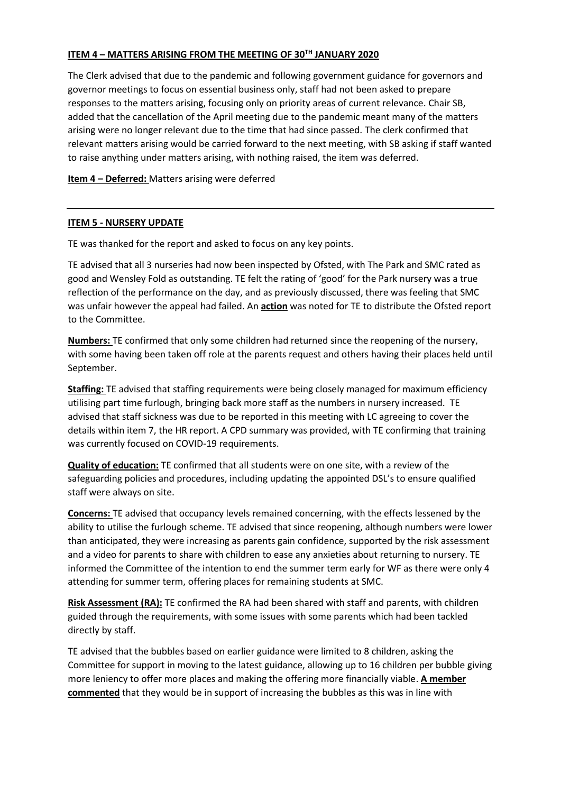# **ITEM 4 – MATTERS ARISING FROM THE MEETING OF 30TH JANUARY 2020**

The Clerk advised that due to the pandemic and following government guidance for governors and governor meetings to focus on essential business only, staff had not been asked to prepare responses to the matters arising, focusing only on priority areas of current relevance. Chair SB, added that the cancellation of the April meeting due to the pandemic meant many of the matters arising were no longer relevant due to the time that had since passed. The clerk confirmed that relevant matters arising would be carried forward to the next meeting, with SB asking if staff wanted to raise anything under matters arising, with nothing raised, the item was deferred.

**Item 4 – Deferred:** Matters arising were deferred

### **ITEM 5 - NURSERY UPDATE**

TE was thanked for the report and asked to focus on any key points.

TE advised that all 3 nurseries had now been inspected by Ofsted, with The Park and SMC rated as good and Wensley Fold as outstanding. TE felt the rating of 'good' for the Park nursery was a true reflection of the performance on the day, and as previously discussed, there was feeling that SMC was unfair however the appeal had failed. An **action** was noted for TE to distribute the Ofsted report to the Committee.

**Numbers:** TE confirmed that only some children had returned since the reopening of the nursery, with some having been taken off role at the parents request and others having their places held until September.

**Staffing:** TE advised that staffing requirements were being closely managed for maximum efficiency utilising part time furlough, bringing back more staff as the numbers in nursery increased. TE advised that staff sickness was due to be reported in this meeting with LC agreeing to cover the details within item 7, the HR report. A CPD summary was provided, with TE confirming that training was currently focused on COVID-19 requirements.

**Quality of education:** TE confirmed that all students were on one site, with a review of the safeguarding policies and procedures, including updating the appointed DSL's to ensure qualified staff were always on site.

**Concerns:** TE advised that occupancy levels remained concerning, with the effects lessened by the ability to utilise the furlough scheme. TE advised that since reopening, although numbers were lower than anticipated, they were increasing as parents gain confidence, supported by the risk assessment and a video for parents to share with children to ease any anxieties about returning to nursery. TE informed the Committee of the intention to end the summer term early for WF as there were only 4 attending for summer term, offering places for remaining students at SMC.

**Risk Assessment (RA):** TE confirmed the RA had been shared with staff and parents, with children guided through the requirements, with some issues with some parents which had been tackled directly by staff.

TE advised that the bubbles based on earlier guidance were limited to 8 children, asking the Committee for support in moving to the latest guidance, allowing up to 16 children per bubble giving more leniency to offer more places and making the offering more financially viable. **A member commented** that they would be in support of increasing the bubbles as this was in line with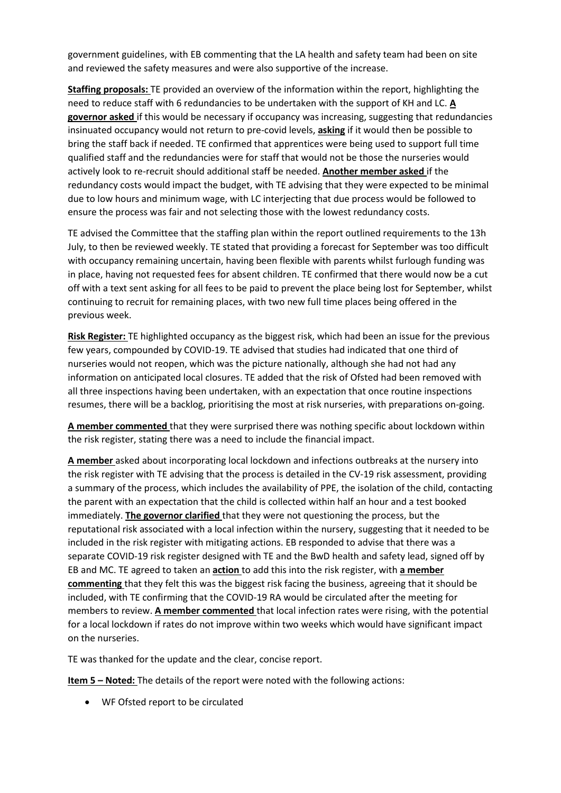government guidelines, with EB commenting that the LA health and safety team had been on site and reviewed the safety measures and were also supportive of the increase.

**Staffing proposals:** TE provided an overview of the information within the report, highlighting the need to reduce staff with 6 redundancies to be undertaken with the support of KH and LC. **A governor asked** if this would be necessary if occupancy was increasing, suggesting that redundancies insinuated occupancy would not return to pre-covid levels, **asking** if it would then be possible to bring the staff back if needed. TE confirmed that apprentices were being used to support full time qualified staff and the redundancies were for staff that would not be those the nurseries would actively look to re-recruit should additional staff be needed. **Another member asked** if the redundancy costs would impact the budget, with TE advising that they were expected to be minimal due to low hours and minimum wage, with LC interjecting that due process would be followed to ensure the process was fair and not selecting those with the lowest redundancy costs.

TE advised the Committee that the staffing plan within the report outlined requirements to the 13h July, to then be reviewed weekly. TE stated that providing a forecast for September was too difficult with occupancy remaining uncertain, having been flexible with parents whilst furlough funding was in place, having not requested fees for absent children. TE confirmed that there would now be a cut off with a text sent asking for all fees to be paid to prevent the place being lost for September, whilst continuing to recruit for remaining places, with two new full time places being offered in the previous week.

**Risk Register:** TE highlighted occupancy as the biggest risk, which had been an issue for the previous few years, compounded by COVID-19. TE advised that studies had indicated that one third of nurseries would not reopen, which was the picture nationally, although she had not had any information on anticipated local closures. TE added that the risk of Ofsted had been removed with all three inspections having been undertaken, with an expectation that once routine inspections resumes, there will be a backlog, prioritising the most at risk nurseries, with preparations on-going.

**A member commented** that they were surprised there was nothing specific about lockdown within the risk register, stating there was a need to include the financial impact.

**A member** asked about incorporating local lockdown and infections outbreaks at the nursery into the risk register with TE advising that the process is detailed in the CV-19 risk assessment, providing a summary of the process, which includes the availability of PPE, the isolation of the child, contacting the parent with an expectation that the child is collected within half an hour and a test booked immediately. **The governor clarified** that they were not questioning the process, but the reputational risk associated with a local infection within the nursery, suggesting that it needed to be included in the risk register with mitigating actions. EB responded to advise that there was a separate COVID-19 risk register designed with TE and the BwD health and safety lead, signed off by EB and MC. TE agreed to taken an **action** to add this into the risk register, with **a member commenting** that they felt this was the biggest risk facing the business, agreeing that it should be included, with TE confirming that the COVID-19 RA would be circulated after the meeting for members to review. **A member commented** that local infection rates were rising, with the potential for a local lockdown if rates do not improve within two weeks which would have significant impact on the nurseries.

TE was thanked for the update and the clear, concise report.

**Item 5 – Noted:** The details of the report were noted with the following actions:

WF Ofsted report to be circulated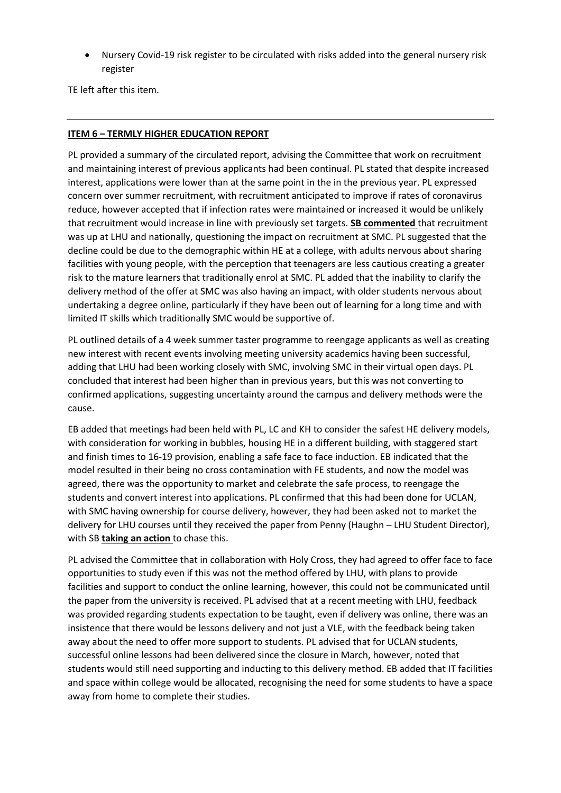Nursery Covid-19 risk register to be circulated with risks added into the general nursery risk register

TE left after this item.

### **ITEM 6 – TERMLY HIGHER EDUCATION REPORT**

PL provided a summary of the circulated report, advising the Committee that work on recruitment and maintaining interest of previous applicants had been continual. PL stated that despite increased interest, applications were lower than at the same point in the in the previous year. PL expressed concern over summer recruitment, with recruitment anticipated to improve if rates of coronavirus reduce, however accepted that if infection rates were maintained or increased it would be unlikely that recruitment would increase in line with previously set targets. **SB commented** that recruitment was up at LHU and nationally, questioning the impact on recruitment at SMC. PL suggested that the decline could be due to the demographic within HE at a college, with adults nervous about sharing facilities with young people, with the perception that teenagers are less cautious creating a greater risk to the mature learners that traditionally enrol at SMC. PL added that the inability to clarify the delivery method of the offer at SMC was also having an impact, with older students nervous about undertaking a degree online, particularly if they have been out of learning for a long time and with limited IT skills which traditionally SMC would be supportive of.

PL outlined details of a 4 week summer taster programme to reengage applicants as well as creating new interest with recent events involving meeting university academics having been successful, adding that LHU had been working closely with SMC, involving SMC in their virtual open days. PL concluded that interest had been higher than in previous years, but this was not converting to confirmed applications, suggesting uncertainty around the campus and delivery methods were the cause.

EB added that meetings had been held with PL, LC and KH to consider the safest HE delivery models, with consideration for working in bubbles, housing HE in a different building, with staggered start and finish times to 16-19 provision, enabling a safe face to face induction. EB indicated that the model resulted in their being no cross contamination with FE students, and now the model was agreed, there was the opportunity to market and celebrate the safe process, to reengage the students and convert interest into applications. PL confirmed that this had been done for UCLAN, with SMC having ownership for course delivery, however, they had been asked not to market the delivery for LHU courses until they received the paper from Penny (Haughn – LHU Student Director), with SB **taking an action** to chase this.

PL advised the Committee that in collaboration with Holy Cross, they had agreed to offer face to face opportunities to study even if this was not the method offered by LHU, with plans to provide facilities and support to conduct the online learning, however, this could not be communicated until the paper from the university is received. PL advised that at a recent meeting with LHU, feedback was provided regarding students expectation to be taught, even if delivery was online, there was an insistence that there would be lessons delivery and not just a VLE, with the feedback being taken away about the need to offer more support to students. PL advised that for UCLAN students, successful online lessons had been delivered since the closure in March, however, noted that students would still need supporting and inducting to this delivery method. EB added that IT facilities and space within college would be allocated, recognising the need for some students to have a space away from home to complete their studies.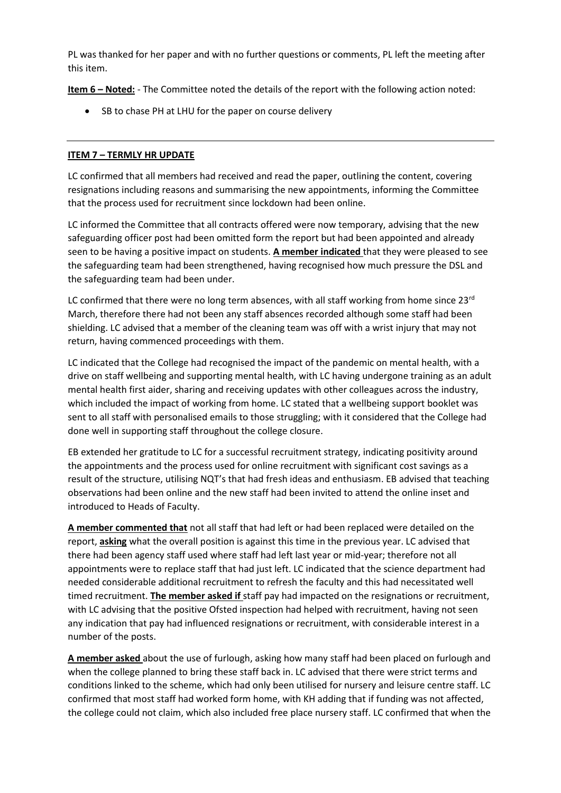PL was thanked for her paper and with no further questions or comments, PL left the meeting after this item.

**Item 6 – Noted:** - The Committee noted the details of the report with the following action noted:

• SB to chase PH at LHU for the paper on course delivery

### **ITEM 7 – TERMLY HR UPDATE**

LC confirmed that all members had received and read the paper, outlining the content, covering resignations including reasons and summarising the new appointments, informing the Committee that the process used for recruitment since lockdown had been online.

LC informed the Committee that all contracts offered were now temporary, advising that the new safeguarding officer post had been omitted form the report but had been appointed and already seen to be having a positive impact on students. **A member indicated** that they were pleased to see the safeguarding team had been strengthened, having recognised how much pressure the DSL and the safeguarding team had been under.

LC confirmed that there were no long term absences, with all staff working from home since  $23<sup>rd</sup>$ March, therefore there had not been any staff absences recorded although some staff had been shielding. LC advised that a member of the cleaning team was off with a wrist injury that may not return, having commenced proceedings with them.

LC indicated that the College had recognised the impact of the pandemic on mental health, with a drive on staff wellbeing and supporting mental health, with LC having undergone training as an adult mental health first aider, sharing and receiving updates with other colleagues across the industry, which included the impact of working from home. LC stated that a wellbeing support booklet was sent to all staff with personalised emails to those struggling; with it considered that the College had done well in supporting staff throughout the college closure.

EB extended her gratitude to LC for a successful recruitment strategy, indicating positivity around the appointments and the process used for online recruitment with significant cost savings as a result of the structure, utilising NQT's that had fresh ideas and enthusiasm. EB advised that teaching observations had been online and the new staff had been invited to attend the online inset and introduced to Heads of Faculty.

**A member commented that** not all staff that had left or had been replaced were detailed on the report, **asking** what the overall position is against this time in the previous year. LC advised that there had been agency staff used where staff had left last year or mid-year; therefore not all appointments were to replace staff that had just left. LC indicated that the science department had needed considerable additional recruitment to refresh the faculty and this had necessitated well timed recruitment. **The member asked if** staff pay had impacted on the resignations or recruitment, with LC advising that the positive Ofsted inspection had helped with recruitment, having not seen any indication that pay had influenced resignations or recruitment, with considerable interest in a number of the posts.

**A member asked** about the use of furlough, asking how many staff had been placed on furlough and when the college planned to bring these staff back in. LC advised that there were strict terms and conditions linked to the scheme, which had only been utilised for nursery and leisure centre staff. LC confirmed that most staff had worked form home, with KH adding that if funding was not affected, the college could not claim, which also included free place nursery staff. LC confirmed that when the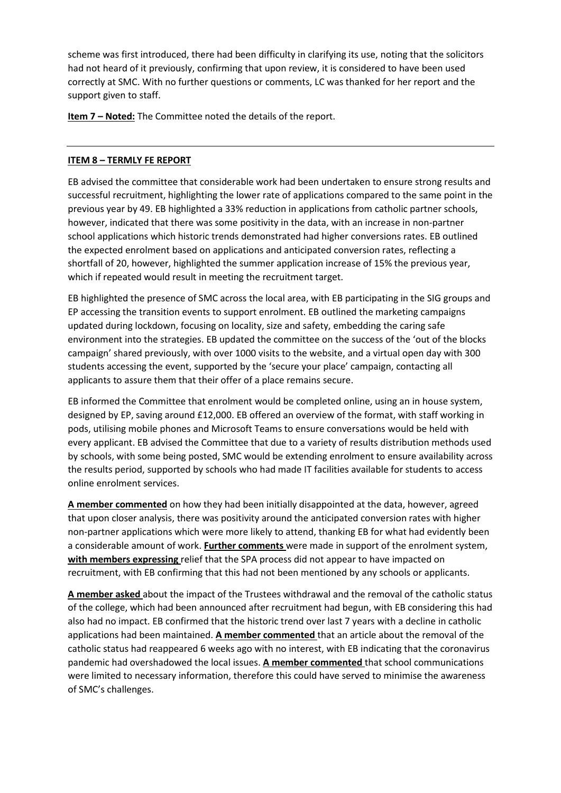scheme was first introduced, there had been difficulty in clarifying its use, noting that the solicitors had not heard of it previously, confirming that upon review, it is considered to have been used correctly at SMC. With no further questions or comments, LC was thanked for her report and the support given to staff.

**Item 7 – Noted:** The Committee noted the details of the report.

# **ITEM 8 – TERMLY FE REPORT**

EB advised the committee that considerable work had been undertaken to ensure strong results and successful recruitment, highlighting the lower rate of applications compared to the same point in the previous year by 49. EB highlighted a 33% reduction in applications from catholic partner schools, however, indicated that there was some positivity in the data, with an increase in non-partner school applications which historic trends demonstrated had higher conversions rates. EB outlined the expected enrolment based on applications and anticipated conversion rates, reflecting a shortfall of 20, however, highlighted the summer application increase of 15% the previous year, which if repeated would result in meeting the recruitment target.

EB highlighted the presence of SMC across the local area, with EB participating in the SIG groups and EP accessing the transition events to support enrolment. EB outlined the marketing campaigns updated during lockdown, focusing on locality, size and safety, embedding the caring safe environment into the strategies. EB updated the committee on the success of the 'out of the blocks campaign' shared previously, with over 1000 visits to the website, and a virtual open day with 300 students accessing the event, supported by the 'secure your place' campaign, contacting all applicants to assure them that their offer of a place remains secure.

EB informed the Committee that enrolment would be completed online, using an in house system, designed by EP, saving around £12,000. EB offered an overview of the format, with staff working in pods, utilising mobile phones and Microsoft Teams to ensure conversations would be held with every applicant. EB advised the Committee that due to a variety of results distribution methods used by schools, with some being posted, SMC would be extending enrolment to ensure availability across the results period, supported by schools who had made IT facilities available for students to access online enrolment services.

**A member commented** on how they had been initially disappointed at the data, however, agreed that upon closer analysis, there was positivity around the anticipated conversion rates with higher non-partner applications which were more likely to attend, thanking EB for what had evidently been a considerable amount of work. **Further comments** were made in support of the enrolment system, **with members expressing** relief that the SPA process did not appear to have impacted on recruitment, with EB confirming that this had not been mentioned by any schools or applicants.

**A member asked** about the impact of the Trustees withdrawal and the removal of the catholic status of the college, which had been announced after recruitment had begun, with EB considering this had also had no impact. EB confirmed that the historic trend over last 7 years with a decline in catholic applications had been maintained. **A member commented** that an article about the removal of the catholic status had reappeared 6 weeks ago with no interest, with EB indicating that the coronavirus pandemic had overshadowed the local issues. **A member commented** that school communications were limited to necessary information, therefore this could have served to minimise the awareness of SMC's challenges.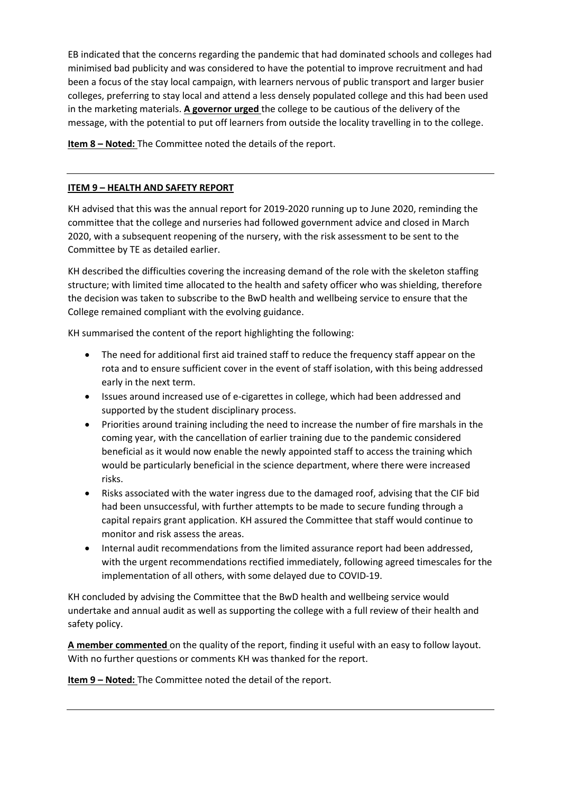EB indicated that the concerns regarding the pandemic that had dominated schools and colleges had minimised bad publicity and was considered to have the potential to improve recruitment and had been a focus of the stay local campaign, with learners nervous of public transport and larger busier colleges, preferring to stay local and attend a less densely populated college and this had been used in the marketing materials. **A governor urged** the college to be cautious of the delivery of the message, with the potential to put off learners from outside the locality travelling in to the college.

**Item 8 – Noted:** The Committee noted the details of the report.

### **ITEM 9 – HEALTH AND SAFETY REPORT**

KH advised that this was the annual report for 2019-2020 running up to June 2020, reminding the committee that the college and nurseries had followed government advice and closed in March 2020, with a subsequent reopening of the nursery, with the risk assessment to be sent to the Committee by TE as detailed earlier.

KH described the difficulties covering the increasing demand of the role with the skeleton staffing structure; with limited time allocated to the health and safety officer who was shielding, therefore the decision was taken to subscribe to the BwD health and wellbeing service to ensure that the College remained compliant with the evolving guidance.

KH summarised the content of the report highlighting the following:

- The need for additional first aid trained staff to reduce the frequency staff appear on the rota and to ensure sufficient cover in the event of staff isolation, with this being addressed early in the next term.
- Issues around increased use of e-cigarettes in college, which had been addressed and supported by the student disciplinary process.
- Priorities around training including the need to increase the number of fire marshals in the coming year, with the cancellation of earlier training due to the pandemic considered beneficial as it would now enable the newly appointed staff to access the training which would be particularly beneficial in the science department, where there were increased risks.
- Risks associated with the water ingress due to the damaged roof, advising that the CIF bid had been unsuccessful, with further attempts to be made to secure funding through a capital repairs grant application. KH assured the Committee that staff would continue to monitor and risk assess the areas.
- Internal audit recommendations from the limited assurance report had been addressed, with the urgent recommendations rectified immediately, following agreed timescales for the implementation of all others, with some delayed due to COVID-19.

KH concluded by advising the Committee that the BwD health and wellbeing service would undertake and annual audit as well as supporting the college with a full review of their health and safety policy.

**A member commented** on the quality of the report, finding it useful with an easy to follow layout. With no further questions or comments KH was thanked for the report.

**Item 9 – Noted:** The Committee noted the detail of the report.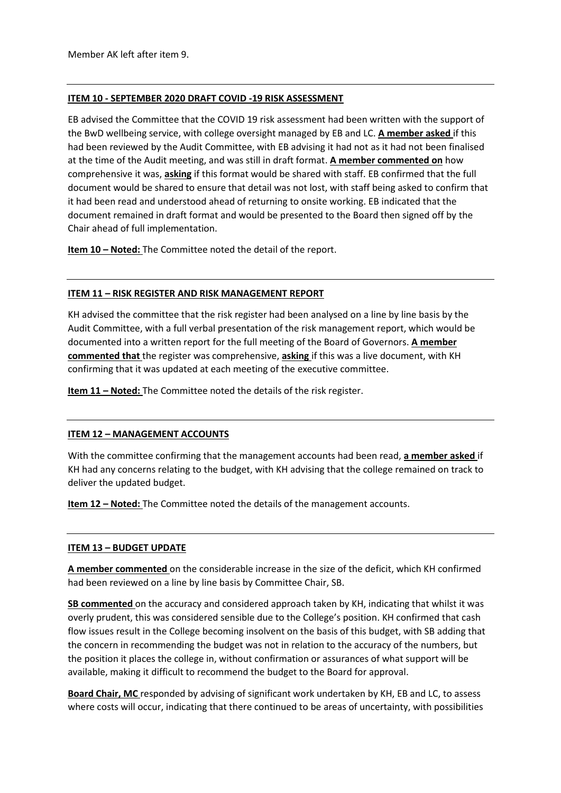#### **ITEM 10 - SEPTEMBER 2020 DRAFT COVID -19 RISK ASSESSMENT**

EB advised the Committee that the COVID 19 risk assessment had been written with the support of the BwD wellbeing service, with college oversight managed by EB and LC. **A member asked** if this had been reviewed by the Audit Committee, with EB advising it had not as it had not been finalised at the time of the Audit meeting, and was still in draft format. **A member commented on** how comprehensive it was, **asking** if this format would be shared with staff. EB confirmed that the full document would be shared to ensure that detail was not lost, with staff being asked to confirm that it had been read and understood ahead of returning to onsite working. EB indicated that the document remained in draft format and would be presented to the Board then signed off by the Chair ahead of full implementation.

**Item 10 – Noted:** The Committee noted the detail of the report.

### **ITEM 11 – RISK REGISTER AND RISK MANAGEMENT REPORT**

KH advised the committee that the risk register had been analysed on a line by line basis by the Audit Committee, with a full verbal presentation of the risk management report, which would be documented into a written report for the full meeting of the Board of Governors. **A member commented that** the register was comprehensive, **asking** if this was a live document, with KH confirming that it was updated at each meeting of the executive committee.

**Item 11 – Noted:** The Committee noted the details of the risk register.

# **ITEM 12 – MANAGEMENT ACCOUNTS**

With the committee confirming that the management accounts had been read, **a member asked** if KH had any concerns relating to the budget, with KH advising that the college remained on track to deliver the updated budget.

**Item 12 – Noted:** The Committee noted the details of the management accounts.

#### **ITEM 13 – BUDGET UPDATE**

**A member commented** on the considerable increase in the size of the deficit, which KH confirmed had been reviewed on a line by line basis by Committee Chair, SB.

**SB commented** on the accuracy and considered approach taken by KH, indicating that whilst it was overly prudent, this was considered sensible due to the College's position. KH confirmed that cash flow issues result in the College becoming insolvent on the basis of this budget, with SB adding that the concern in recommending the budget was not in relation to the accuracy of the numbers, but the position it places the college in, without confirmation or assurances of what support will be available, making it difficult to recommend the budget to the Board for approval.

**Board Chair, MC** responded by advising of significant work undertaken by KH, EB and LC, to assess where costs will occur, indicating that there continued to be areas of uncertainty, with possibilities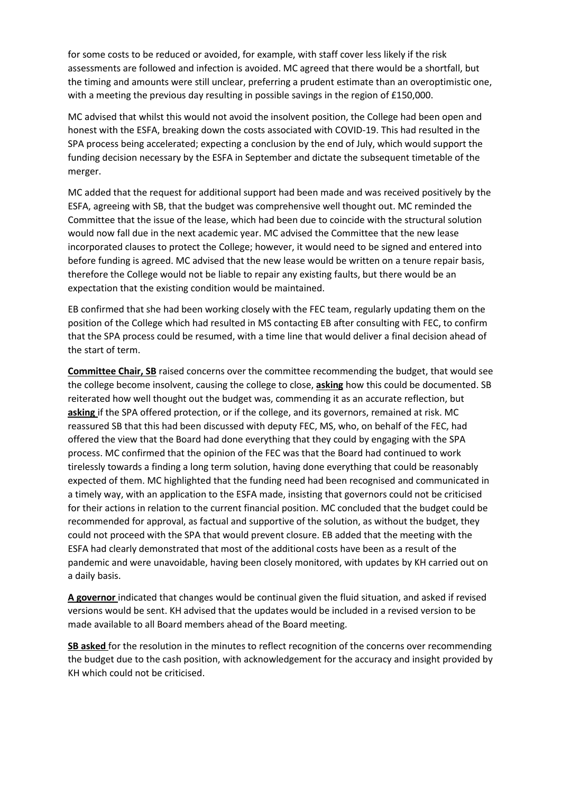for some costs to be reduced or avoided, for example, with staff cover less likely if the risk assessments are followed and infection is avoided. MC agreed that there would be a shortfall, but the timing and amounts were still unclear, preferring a prudent estimate than an overoptimistic one, with a meeting the previous day resulting in possible savings in the region of £150,000.

MC advised that whilst this would not avoid the insolvent position, the College had been open and honest with the ESFA, breaking down the costs associated with COVID-19. This had resulted in the SPA process being accelerated; expecting a conclusion by the end of July, which would support the funding decision necessary by the ESFA in September and dictate the subsequent timetable of the merger.

MC added that the request for additional support had been made and was received positively by the ESFA, agreeing with SB, that the budget was comprehensive well thought out. MC reminded the Committee that the issue of the lease, which had been due to coincide with the structural solution would now fall due in the next academic year. MC advised the Committee that the new lease incorporated clauses to protect the College; however, it would need to be signed and entered into before funding is agreed. MC advised that the new lease would be written on a tenure repair basis, therefore the College would not be liable to repair any existing faults, but there would be an expectation that the existing condition would be maintained.

EB confirmed that she had been working closely with the FEC team, regularly updating them on the position of the College which had resulted in MS contacting EB after consulting with FEC, to confirm that the SPA process could be resumed, with a time line that would deliver a final decision ahead of the start of term.

**Committee Chair, SB** raised concerns over the committee recommending the budget, that would see the college become insolvent, causing the college to close, **asking** how this could be documented. SB reiterated how well thought out the budget was, commending it as an accurate reflection, but **asking** if the SPA offered protection, or if the college, and its governors, remained at risk. MC reassured SB that this had been discussed with deputy FEC, MS, who, on behalf of the FEC, had offered the view that the Board had done everything that they could by engaging with the SPA process. MC confirmed that the opinion of the FEC was that the Board had continued to work tirelessly towards a finding a long term solution, having done everything that could be reasonably expected of them. MC highlighted that the funding need had been recognised and communicated in a timely way, with an application to the ESFA made, insisting that governors could not be criticised for their actions in relation to the current financial position. MC concluded that the budget could be recommended for approval, as factual and supportive of the solution, as without the budget, they could not proceed with the SPA that would prevent closure. EB added that the meeting with the ESFA had clearly demonstrated that most of the additional costs have been as a result of the pandemic and were unavoidable, having been closely monitored, with updates by KH carried out on a daily basis.

**A governor** indicated that changes would be continual given the fluid situation, and asked if revised versions would be sent. KH advised that the updates would be included in a revised version to be made available to all Board members ahead of the Board meeting.

**SB asked** for the resolution in the minutes to reflect recognition of the concerns over recommending the budget due to the cash position, with acknowledgement for the accuracy and insight provided by KH which could not be criticised.